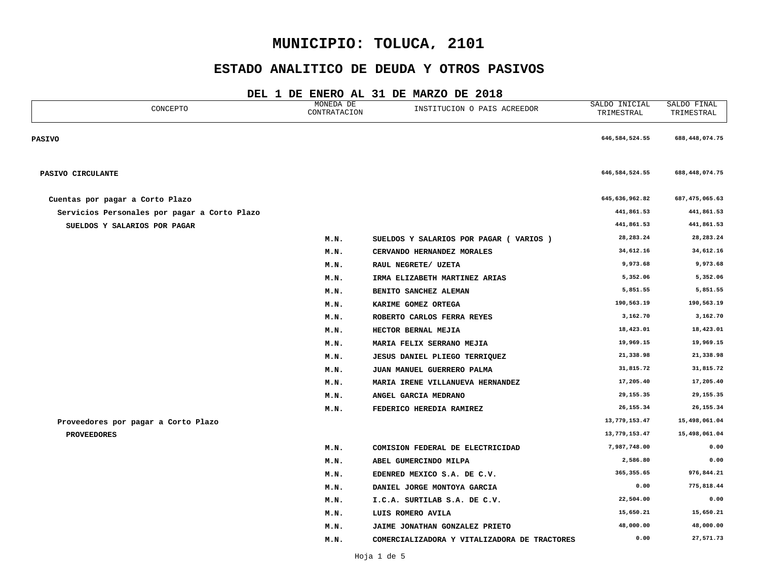## **ESTADO ANALITICO DE DEUDA Y OTROS PASIVOS**

| CONCEPTO                                     | MONEDA DE<br>CONTRATACION | INSTITUCION O PAIS ACREEDOR                  | SALDO INICIAL<br>TRIMESTRAL | SALDO FINAL<br>TRIMESTRAL |
|----------------------------------------------|---------------------------|----------------------------------------------|-----------------------------|---------------------------|
| <b>PASIVO</b>                                |                           |                                              | 646, 584, 524.55            | 688,448,074.75            |
| PASIVO CIRCULANTE                            |                           |                                              | 646, 584, 524.55            | 688,448,074.75            |
| Cuentas por pagar a Corto Plazo              |                           |                                              | 645,636,962.82              | 687,475,065.63            |
| Servicios Personales por pagar a Corto Plazo |                           |                                              | 441,861.53                  | 441,861.53                |
| SUELDOS Y SALARIOS POR PAGAR                 |                           |                                              | 441,861.53                  | 441,861.53                |
|                                              | M.N.                      | SUELDOS Y SALARIOS POR PAGAR ( VARIOS )      | 28, 283. 24                 | 28, 283. 24               |
|                                              | M.N.                      | CERVANDO HERNANDEZ MORALES                   | 34,612.16                   | 34,612.16                 |
|                                              | M.N.                      | RAUL NEGRETE/ UZETA                          | 9,973.68                    | 9,973.68                  |
|                                              | M.N.                      | IRMA ELIZABETH MARTINEZ ARIAS                | 5,352.06                    | 5,352.06                  |
|                                              | M.N.                      | BENITO SANCHEZ ALEMAN                        | 5,851.55                    | 5,851.55                  |
|                                              | M.N.                      | KARIME GOMEZ ORTEGA                          | 190,563.19                  | 190,563.19                |
|                                              | M.N.                      | ROBERTO CARLOS FERRA REYES                   | 3,162.70                    | 3,162.70                  |
|                                              | M.N.                      | HECTOR BERNAL MEJIA                          | 18,423.01                   | 18,423.01                 |
|                                              | M.N.                      | MARIA FELIX SERRANO MEJIA                    | 19,969.15                   | 19,969.15                 |
|                                              | M.N.                      | <b>JESUS DANIEL PLIEGO TERRIQUEZ</b>         | 21,338.98                   | 21,338.98                 |
|                                              | M.N.                      | JUAN MANUEL GUERRERO PALMA                   | 31,815.72                   | 31,815.72                 |
|                                              | M.N.                      | MARIA IRENE VILLANUEVA HERNANDEZ             | 17,205.40                   | 17,205.40                 |
|                                              | M.N.                      | ANGEL GARCIA MEDRANO                         | 29, 155. 35                 | 29,155.35                 |
|                                              | M.N.                      | FEDERICO HEREDIA RAMIREZ                     | 26, 155. 34                 | 26, 155.34                |
| Proveedores por pagar a Corto Plazo          |                           |                                              | 13,779,153.47               | 15,498,061.04             |
| <b>PROVEEDORES</b>                           |                           |                                              | 13,779,153.47               | 15,498,061.04             |
|                                              | M.N.                      | COMISION FEDERAL DE ELECTRICIDAD             | 7,987,748.00                | 0.00                      |
|                                              | M.N.                      | ABEL GUMERCINDO MILPA                        | 2,586.80                    | 0.00                      |
|                                              | M.N.                      | EDENRED MEXICO S.A. DE C.V.                  | 365, 355.65                 | 976,844.21                |
|                                              | M.N.                      | DANIEL JORGE MONTOYA GARCIA                  | 0.00                        | 775,818.44                |
|                                              | M.N.                      | I.C.A. SURTILAB S.A. DE C.V.                 | 22,504.00                   | 0.00                      |
|                                              | M.N.                      | LUIS ROMERO AVILA                            | 15,650.21                   | 15,650.21                 |
|                                              | M.N.                      | JAIME JONATHAN GONZALEZ PRIETO               | 48,000.00                   | 48,000.00                 |
|                                              | M.N.                      | COMERCIALIZADORA Y VITALIZADORA DE TRACTORES | 0.00                        | 27,571.73                 |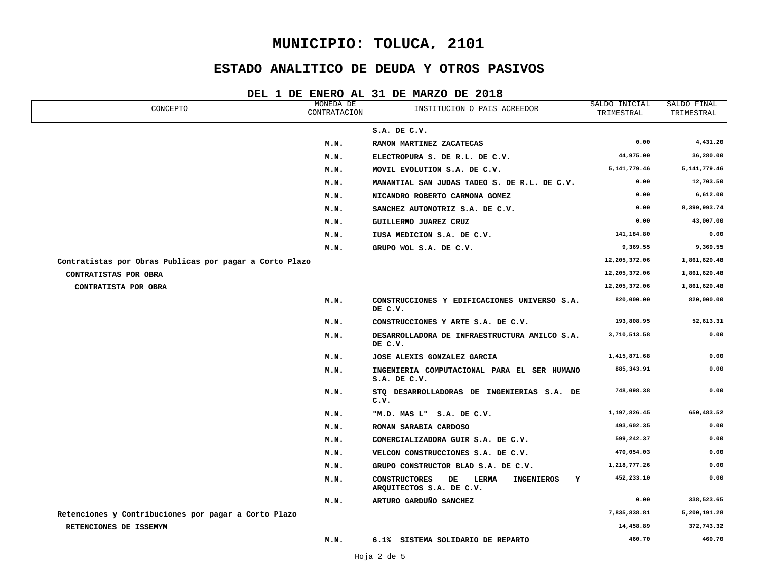## **ESTADO ANALITICO DE DEUDA Y OTROS PASIVOS**

| CONCEPTO                                                | MONEDA DE<br>CONTRATACION | INSTITUCION O PAIS ACREEDOR                                                        | SALDO INICIAL<br>TRIMESTRAL | SALDO FINAL<br>TRIMESTRAL |
|---------------------------------------------------------|---------------------------|------------------------------------------------------------------------------------|-----------------------------|---------------------------|
|                                                         |                           | S.A. DE C.V.                                                                       |                             |                           |
|                                                         | M.N.                      | RAMON MARTINEZ ZACATECAS                                                           | 0.00                        | 4,431.20                  |
|                                                         | M.N.                      | ELECTROPURA S. DE R.L. DE C.V.                                                     | 44,975.00                   | 36,280.00                 |
|                                                         | M.N.                      | MOVIL EVOLUTION S.A. DE C.V.                                                       | 5, 141, 779.46              | 5, 141, 779.46            |
|                                                         | M.N.                      | MANANTIAL SAN JUDAS TADEO S. DE R.L. DE C.V.                                       | 0.00                        | 12,703.50                 |
|                                                         | M.N.                      | NICANDRO ROBERTO CARMONA GOMEZ                                                     | 0.00                        | 6,612.00                  |
|                                                         | M.N.                      | SANCHEZ AUTOMOTRIZ S.A. DE C.V.                                                    | 0.00                        | 8,399,993.74              |
|                                                         | M.N.                      | GUILLERMO JUAREZ CRUZ                                                              | 0.00                        | 43,007.00                 |
|                                                         | M.N.                      | IUSA MEDICION S.A. DE C.V.                                                         | 141,184.80                  | 0.00                      |
|                                                         | M.N.                      | GRUPO WOL S.A. DE C.V.                                                             | 9,369.55                    | 9,369.55                  |
| Contratistas por Obras Publicas por pagar a Corto Plazo |                           |                                                                                    | 12,205,372.06               | 1,861,620.48              |
| CONTRATISTAS POR OBRA                                   |                           |                                                                                    | 12,205,372.06               | 1,861,620.48              |
| CONTRATISTA POR OBRA                                    |                           |                                                                                    | 12,205,372.06               | 1,861,620.48              |
|                                                         | M.N.                      | CONSTRUCCIONES Y EDIFICACIONES UNIVERSO S.A.<br>DE C.V.                            | 820,000.00                  | 820,000.00                |
|                                                         | M.N.                      | CONSTRUCCIONES Y ARTE S.A. DE C.V.                                                 | 193,808.95                  | 52,613.31                 |
|                                                         | M.N.                      | DESARROLLADORA DE INFRAESTRUCTURA AMILCO S.A.<br>DE C.V.                           | 3,710,513.58                | 0.00                      |
|                                                         | M.N.                      | JOSE ALEXIS GONZALEZ GARCIA                                                        | 1,415,871.68                | 0.00                      |
|                                                         | M.N.                      | INGENIERIA COMPUTACIONAL PARA EL SER HUMANO<br>S.A. DE C.V.                        | 885, 343.91                 | 0.00                      |
|                                                         | M.N.                      | STO DESARROLLADORAS DE INGENIERIAS S.A. DE<br>c.v.                                 | 748,098.38                  | 0.00                      |
|                                                         | M.N.                      | "M.D. MAS L" S.A. DE C.V.                                                          | 1,197,826.45                | 650,483.52                |
|                                                         | M.N.                      | ROMAN SARABIA CARDOSO                                                              | 493,602.35                  | 0.00                      |
|                                                         | M.N.                      | COMERCIALIZADORA GUIR S.A. DE C.V.                                                 | 599,242.37                  | 0.00                      |
|                                                         | M.N.                      | VELCON CONSTRUCCIONES S.A. DE C.V.                                                 | 470,054.03                  | 0.00                      |
|                                                         | M.N.                      | GRUPO CONSTRUCTOR BLAD S.A. DE C.V.                                                | 1,218,777.26                | 0.00                      |
|                                                         | M.N.                      | <b>CONSTRUCTORES</b><br>LERMA<br>INGENIEROS<br>Y<br>DE<br>ARQUITECTOS S.A. DE C.V. | 452,233.10                  | 0.00                      |
|                                                         | M.N.                      | ARTURO GARDUÑO SANCHEZ                                                             | 0.00                        | 338,523.65                |
| Retenciones y Contribuciones por pagar a Corto Plazo    |                           |                                                                                    | 7,835,838.81                | 5,200,191.28              |
| RETENCIONES DE ISSEMYM                                  |                           |                                                                                    | 14,458.89                   | 372,743.32                |
|                                                         | M.N.                      | 6.1% SISTEMA SOLIDARIO DE REPARTO                                                  | 460.70                      | 460.70                    |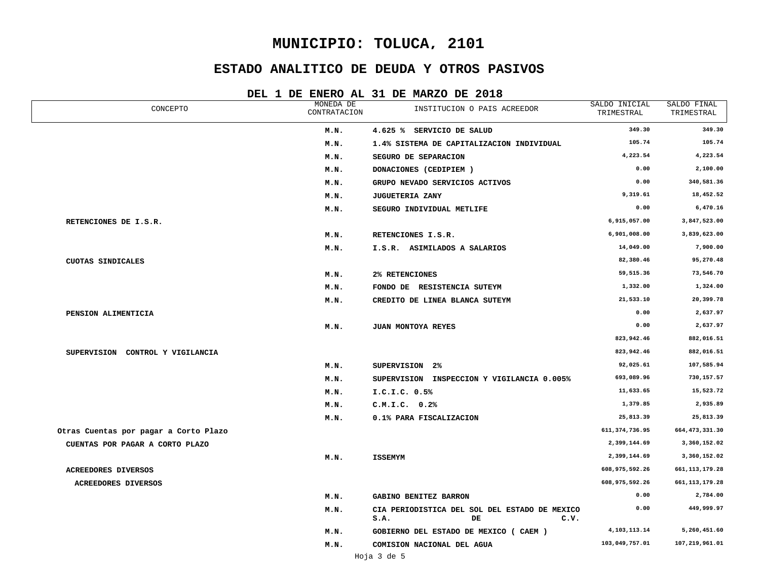## **ESTADO ANALITICO DE DEUDA Y OTROS PASIVOS**

| CONCEPTO                              | MONEDA DE<br>CONTRATACION | INSTITUCION O PAIS ACREEDOR                                         | SALDO INICIAL<br>TRIMESTRAL | SALDO FINAL<br>TRIMESTRAL |
|---------------------------------------|---------------------------|---------------------------------------------------------------------|-----------------------------|---------------------------|
|                                       | M.N.                      | 4.625 % SERVICIO DE SALUD                                           | 349.30                      | 349.30                    |
|                                       | M.N.                      | 1.4% SISTEMA DE CAPITALIZACION INDIVIDUAL                           | 105.74                      | 105.74                    |
|                                       | M.N.                      | SEGURO DE SEPARACION                                                | 4,223.54                    | 4,223.54                  |
|                                       | M.N.                      | DONACIONES (CEDIPIEM)                                               | 0.00                        | 2,100.00                  |
|                                       | M.N.                      | GRUPO NEVADO SERVICIOS ACTIVOS                                      | 0.00                        | 340,581.36                |
|                                       | M.N.                      | <b>JUGUETERIA ZANY</b>                                              | 9,319.61                    | 18,452.52                 |
|                                       | M.N.                      | SEGURO INDIVIDUAL METLIFE                                           | 0.00                        | 6,470.16                  |
| RETENCIONES DE I.S.R.                 |                           |                                                                     | 6,915,057.00                | 3,847,523.00              |
|                                       | M.N.                      | RETENCIONES I.S.R.                                                  | 6,901,008.00                | 3,839,623.00              |
|                                       | M.N.                      | I.S.R. ASIMILADOS A SALARIOS                                        | 14,049.00                   | 7,900.00                  |
| CUOTAS SINDICALES                     |                           |                                                                     | 82,380.46                   | 95,270.48                 |
|                                       | M.N.                      | 2% RETENCIONES                                                      | 59,515.36                   | 73,546.70                 |
|                                       | M.N.                      | FONDO DE RESISTENCIA SUTEYM                                         | 1,332.00                    | 1,324.00                  |
|                                       | M.N.                      | CREDITO DE LINEA BLANCA SUTEYM                                      | 21,533.10                   | 20,399.78                 |
| PENSION ALIMENTICIA                   |                           |                                                                     | 0.00                        | 2,637.97                  |
|                                       | M.N.                      | JUAN MONTOYA REYES                                                  | 0.00                        | 2,637.97                  |
|                                       |                           |                                                                     | 823,942.46                  | 882,016.51                |
| SUPERVISION CONTROL Y VIGILANCIA      |                           |                                                                     | 823,942.46                  | 882,016.51                |
|                                       | M.N.                      | SUPERVISION 2%                                                      | 92,025.61                   | 107,585.94                |
|                                       | M.N.                      | SUPERVISION INSPECCION Y VIGILANCIA 0.005%                          | 693,089.96                  | 730,157.57                |
|                                       | M.N.                      | I.C.I.C. 0.5%                                                       | 11,633.65                   | 15,523.72                 |
|                                       | M.N.                      | C.M.I.C. 0.2%                                                       | 1,379.85                    | 2,935.89                  |
|                                       | M.N.                      | 0.1% PARA FISCALIZACION                                             | 25,813.39                   | 25,813.39                 |
| Otras Cuentas por pagar a Corto Plazo |                           |                                                                     | 611, 374, 736.95            | 664, 473, 331.30          |
| CUENTAS POR PAGAR A CORTO PLAZO       |                           |                                                                     | 2,399,144.69                | 3,360,152.02              |
|                                       | M.N.                      | <b>ISSEMYM</b>                                                      | 2,399,144.69                | 3,360,152.02              |
| ACREEDORES DIVERSOS                   |                           |                                                                     | 608,975,592.26              | 661, 113, 179.28          |
| <b>ACREEDORES DIVERSOS</b>            |                           |                                                                     | 608,975,592.26              | 661, 113, 179. 28         |
|                                       | M.N.                      | <b>GABINO BENITEZ BARRON</b>                                        | 0.00                        | 2,784.00                  |
|                                       | M.N.                      | CIA PERIODISTICA DEL SOL DEL ESTADO DE MEXICO<br>S.A.<br>DE<br>c.v. | 0.00                        | 449,999.97                |
|                                       | M.N.                      | GOBIERNO DEL ESTADO DE MEXICO (CAEM)                                | 4, 103, 113. 14             | 5,260,451.60              |
|                                       | M.N.                      | COMISION NACIONAL DEL AGUA                                          | 103,049,757.01              | 107,219,961.01            |
|                                       |                           |                                                                     |                             |                           |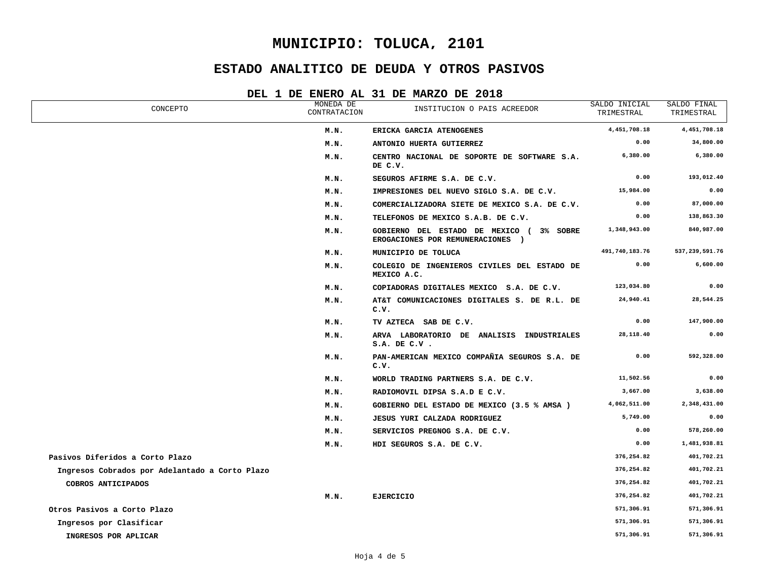## **ESTADO ANALITICO DE DEUDA Y OTROS PASIVOS**

| DEL 1 DE ENERO AL 31 DE MARZO DE 2018 |  |  |  |  |  |  |  |  |  |  |
|---------------------------------------|--|--|--|--|--|--|--|--|--|--|
|---------------------------------------|--|--|--|--|--|--|--|--|--|--|

| CONCEPTO                                       | MONEDA DE<br>CONTRATACION | INSTITUCION O PAIS ACREEDOR                                                  | SALDO INICIAL<br>TRIMESTRAL | SALDO FINAL<br>TRIMESTRAL |
|------------------------------------------------|---------------------------|------------------------------------------------------------------------------|-----------------------------|---------------------------|
|                                                | M.N.                      | ERICKA GARCIA ATENOGENES                                                     | 4,451,708.18                | 4,451,708.18              |
|                                                | M.N.                      | ANTONIO HUERTA GUTIERREZ                                                     | 0.00                        | 34,800.00                 |
|                                                | M.N.                      | CENTRO NACIONAL DE SOPORTE DE SOFTWARE S.A.<br>DE C.V.                       | 6,380.00                    | 6,380.00                  |
|                                                | M.N.                      | SEGUROS AFIRME S.A. DE C.V.                                                  | 0.00                        | 193,012.40                |
|                                                | M.N.                      | IMPRESIONES DEL NUEVO SIGLO S.A. DE C.V.                                     | 15,984.00                   | 0.00                      |
|                                                | M.N.                      | COMERCIALIZADORA SIETE DE MEXICO S.A. DE C.V.                                | 0.00                        | 87,000.00                 |
|                                                | M.N.                      | TELEFONOS DE MEXICO S.A.B. DE C.V.                                           | 0.00                        | 138,863.30                |
|                                                | M.N.                      | GOBIERNO DEL ESTADO DE MEXICO ( 3% SOBRE<br>EROGACIONES POR REMUNERACIONES ) | 1,348,943.00                | 840,987.00                |
|                                                | M.N.                      | MUNICIPIO DE TOLUCA                                                          | 491,740,183.76              | 537,239,591.76            |
|                                                | M.N.                      | COLEGIO DE INGENIEROS CIVILES DEL ESTADO DE<br>MEXICO A.C.                   | 0.00                        | 6,600.00                  |
|                                                | M.N.                      | COPIADORAS DIGITALES MEXICO S.A. DE C.V.                                     | 123,034.80                  | 0.00                      |
|                                                | M.N.                      | AT&T COMUNICACIONES DIGITALES S. DE R.L. DE<br>c.v.                          | 24,940.41                   | 28,544.25                 |
|                                                | M.N.                      | TV AZTECA SAB DE C.V.                                                        | 0.00                        | 147,900.00                |
|                                                | M.N.                      | ARVA LABORATORIO DE ANALISIS INDUSTRIALES<br>$S.A.$ DE $C.V.$                | 28,118.40                   | 0.00                      |
|                                                | M.N.                      | PAN-AMERICAN MEXICO COMPAÑIA SEGUROS S.A. DE<br>c.v.                         | 0.00                        | 592,328.00                |
|                                                | M.N.                      | WORLD TRADING PARTNERS S.A. DE C.V.                                          | 11,502.56                   | 0.00                      |
|                                                | M.N.                      | RADIOMOVIL DIPSA S.A.D E C.V.                                                | 3,667.00                    | 3,638.00                  |
|                                                | M.N.                      | GOBIERNO DEL ESTADO DE MEXICO (3.5 % AMSA)                                   | 4,062,511.00                | 2,348,431.00              |
|                                                | M.N.                      | JESUS YURI CALZADA RODRIGUEZ                                                 | 5,749.00                    | 0.00                      |
|                                                | M.N.                      | SERVICIOS PREGNOG S.A. DE C.V.                                               | 0.00                        | 578,260.00                |
|                                                | M.N.                      | HDI SEGUROS S.A. DE C.V.                                                     | 0.00                        | 1,481,938.81              |
| Pasivos Diferidos a Corto Plazo                |                           |                                                                              | 376,254.82                  | 401,702.21                |
| Ingresos Cobrados por Adelantado a Corto Plazo |                           |                                                                              | 376,254.82                  | 401,702.21                |
| COBROS ANTICIPADOS                             |                           |                                                                              | 376,254.82                  | 401,702.21                |
|                                                | M.N.                      | <b>EJERCICIO</b>                                                             | 376,254.82                  | 401,702.21                |
| Otros Pasivos a Corto Plazo                    |                           |                                                                              | 571,306.91                  | 571,306.91                |
| Ingresos por Clasificar                        |                           |                                                                              | 571,306.91                  | 571,306.91                |
| INGRESOS POR APLICAR                           |                           |                                                                              | 571,306.91                  | 571,306.91                |